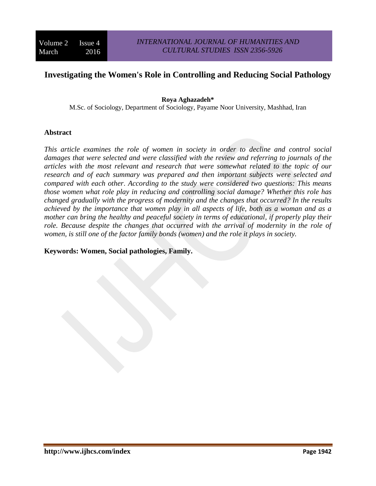# **Investigating the Women's Role in Controlling and Reducing Social Pathology**

#### **Roya Aghazadeh\***

M.Sc. of Sociology, Department of Sociology, Payame Noor University, Mashhad, Iran

#### **Abstract**

*This article examines the role of women in society in order to decline and control social damages that were selected and were classified with the review and referring to journals of the articles with the most relevant and research that were somewhat related to the topic of our research and of each summary was prepared and then important subjects were selected and compared with each other*. *According to the study were considered two questions: This means those women what role play in reducing and controlling social damage? Whether this role has changed gradually with the progress of modernity and the changes that occurred? In the results achieved by the importance that women play in all aspects of life, both as a woman and as a mother can bring the healthy and peaceful society in terms of educational, if properly play their role. Because despite the changes that occurred with the arrival of modernity in the role of women, is still one of the factor family bonds (women) and the role it plays in society.*

#### **Keywords: Women, Social pathologies, Family.**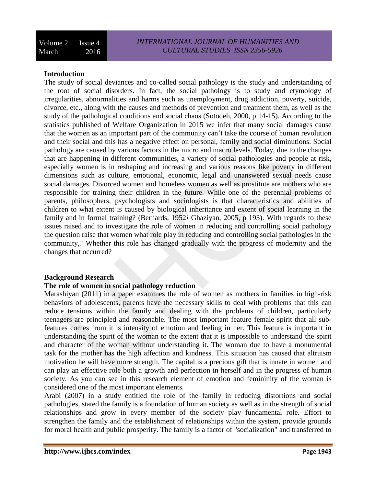## **Introduction**

The study of social deviances and co-called social pathology is the study and understanding of the root of social disorders. In fact, the social pathology is to study and etymology of irregularities, abnormalities and harms such as unemployment, drug addiction, poverty, suicide, divorce, etc., along with the causes and methods of prevention and treatment them, as well as the study of the pathological conditions and social chaos (Sotodeh, 2000, p 14-15). According to the statistics published of Welfare Organization in 2015 we infer that many social damages cause that the women as an important part of the community can't take the course of human revolution and their social and this has a negative effect on personal, family and social diminutions. Social pathology are caused by various factors in the micro and macro levels. Today, due to the changes that are happening in different communities, a variety of social pathologies and people at risk, especially women is in reshaping and increasing and various reasons like poverty in different dimensions such as culture, emotional, economic, legal and unanswered sexual needs cause social damages. Divorced women and homeless women as well as prostitute are mothers who are responsible for training their children in the future. While one of the perennial problems of parents, philosophers, psychologists and sociologists is that characteristics and abilities of children to what extent is caused by biological inheritance and extent of social learning in the family and in formal training? (Bernards, 1952؛ Ghaziyan, 2005, p 193). With regards to these issues raised and to investigate the role of women in reducing and controlling social pathology the question raise that women what role play in reducing and controlling social pathologies in the community,? Whether this role has changed gradually with the progress of modernity and the changes that occurred?

#### **Background Research**

## **The role of women in social pathology reduction**

Marashiyan (2011) in a paper examines the role of women as mothers in families in high-risk behaviors of adolescents, parents have the necessary skills to deal with problems that this can reduce tensions within the family and dealing with the problems of children, particularly teenagers are principled and reasonable. The most important feature female spirit that all subfeatures comes from it is intensity of emotion and feeling in her. This feature is important in understanding the spirit of the woman to the extent that it is impossible to understand the spirit and character of the woman without understanding it. The woman due to have a monumental task for the mother has the high affection and kindness. This situation has caused that altruism motivation he will have more strength. The capital is a precious gift that is innate in women and can play an effective role both a growth and perfection in herself and in the progress of human society. As you can see in this research element of emotion and femininity of the woman is considered one of the most important elements.

Arabi (2007) in a study entitled the role of the family in reducing distortions and social pathologies, stated the family is a foundation of human society as well as in the strength of social relationships and grow in every member of the society play fundamental role. Effort to strengthen the family and the establishment of relationships within the system, provide grounds for moral health and public prosperity. The family is a factor of "socialization" and transferred to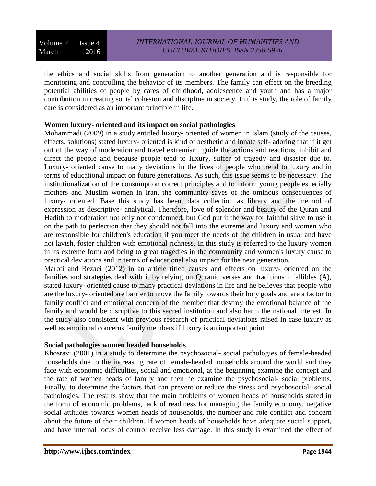the ethics and social skills from generation to another generation and is responsible for monitoring and controlling the behavior of its members. The family can effect on the breeding potential abilities of people by cares of childhood, adolescence and youth and has a major contribution in creating social cohesion and discipline in society. In this study, the role of family care is considered as an important principle in life.

## **Women luxury- oriented and its impact on social pathologies**

Mohammadi (2009) in a study entitled luxury- oriented of women in Islam (study of the causes, effects, solutions) stated luxury- oriented is kind of aesthetic and innate self- adoring that if it get out of the way of moderation and travel extremism, guide the actions and reactions, inhibit and direct the people and because people tend to luxury, suffer of tragedy and disaster due to. Luxury- oriented cause to many deviations in the lives of people who trend to luxury and in terms of educational impact on future generations. As such, this issue seems to be necessary. The institutionalization of the consumption correct principles and to inform young people especially mothers and Muslim women in Iran, the community saves of the ominous consequences of luxury- oriented. Base this study has been, data collection as library and the method of expression as descriptive- analytical. Therefore, love of splendor and beauty of the Quran and Hadith to moderation not only not condemned, but God put it the way for faithful slave to use it on the path to perfection that they should not fall into the extreme and luxury and women who are responsible for children's education if you meet the needs of the children in usual and have not lavish, foster children with emotional richness. In this study is referred to the luxury women in its extreme form and being to great tragedies in the community and women's luxury cause to practical deviations and in terms of educational also impact for the next generation.

Maroti and Rezaei (2012) in an article titled causes and effects on luxury- oriented on the families and strategies deal with it by relying on Quranic verses and traditions infallibles (A), stated luxury- oriented cause to many practical deviations in life and he believes that people who are the luxury- oriented are barrier to move the family towards their holy goals and are a factor to family conflict and emotional concern of the member that destroy the emotional balance of the family and would be disruptive to this sacred institution and also harm the national interest. In the study also consistent with previous research of practical deviations raised in case luxury as well as emotional concerns family members if luxury is an important point.

## **Social pathologies women headed households**

Khosravi (2001) in a study to determine the psychosocial- social pathologies of female-headed households due to the increasing rate of female-headed households around the world and they face with economic difficulties, social and emotional, at the beginning examine the concept and the rate of women heads of family and then he examine the psychosocial- social problems. Finally, to determine the factors that can prevent or reduce the stress and psychosocial- social pathologies. The results show that the main problems of women heads of households stated in the form of economic problems, lack of readiness for managing the family economy, negative social attitudes towards women heads of households, the number and role conflict and concern about the future of their children. If women heads of households have adequate social support, and have internal locus of control receive less damage. In this study is examined the effect of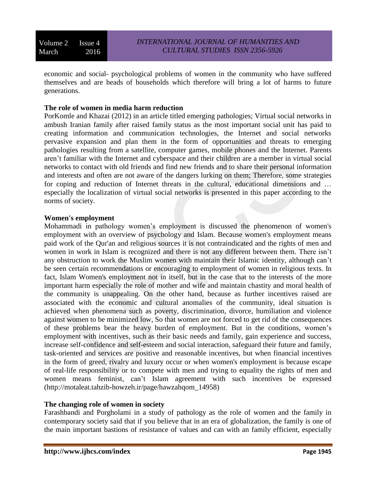economic and social- psychological problems of women in the community who have suffered themselves and are heads of households which therefore will bring a lot of harms to future generations.

# **The role of women in media harm reduction**

PorKomle and Khazai (2012) in an article titled emerging pathologies; Virtual social networks in ambush Iranian family after raised family status as the most important social unit has paid to creating information and communication technologies, the Internet and social networks pervasive expansion and plan them in the form of opportunities and threats to emerging pathologies resulting from a satellite, computer games, mobile phones and the Internet. Parents aren't familiar with the Internet and cyberspace and their children are a member in virtual social networks to contact with old friends and find new friends and to share their personal information and interests and often are not aware of the dangers lurking on them; Therefore, some strategies for coping and reduction of Internet threats in the cultural, educational dimensions and … especially the localization of virtual social networks is presented in this paper according to the norms of society.

## **Women's employment**

Mohammadi in pathology women's employment is discussed the phenomenon of women's employment with an overview of psychology and Islam. Because women's employment means paid work of the Qur'an and religious sources it is not contraindicated and the rights of men and women in work in Islam is recognized and there is not any different between them. There isn't any obstruction to work the Muslim women with maintain their Islamic identity, although can't be seen certain recommendations or encouraging to employment of women in religious texts. In fact, Islam Women's employment not in itself, but in the case that to the interests of the more important harm especially the role of mother and wife and maintain chastity and moral health of the community is unappealing. On the other hand, because as further incentives raised are associated with the economic and cultural anomalies of the community, ideal situation is achieved when phenomena such as poverty, discrimination, divorce, humiliation and violence against women to be minimized low, So that women are not forced to get rid of the consequences of these problems bear the heavy burden of employment. But in the conditions, women's employment with incentives, such as their basic needs and family, gain experience and success, increase self-confidence and self-esteem and social interaction, safeguard their future and family, task-oriented and services are positive and reasonable incentives, but when financial incentives in the form of greed, rivalry and luxury occur or when women's employment is because escape of real-life responsibility or to compete with men and trying to equality the rights of men and women means feminist, can't Islam agreement with such incentives be expressed [\(http://motaleat.tahzib-howzeh.ir/page/hawzahqom\\_14958\)](http://motaleat.tahzib-howzeh.ir/page/hawzahqom_14958)

# **The changing role of women in society**

Farashbandi and Porgholami in a study of pathology as the role of women and the family in contemporary society said that if you believe that in an era of globalization, the family is one of the main important bastions of resistance of values and can with an family efficient, especially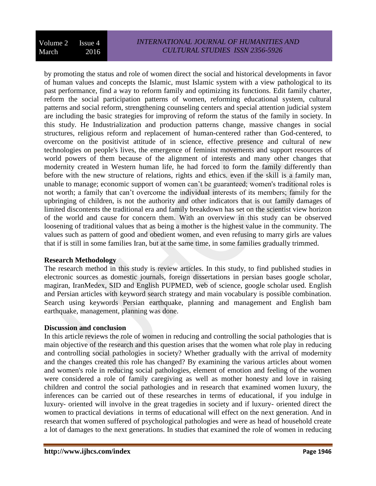by promoting the status and role of women direct the social and historical developments in favor of human values and concepts the Islamic, must Islamic system with a view pathological to its past performance, find a way to reform family and optimizing its functions. Edit family charter, reform the social participation patterns of women, reforming educational system, cultural patterns and social reform, strengthening counseling centers and special attention judicial system are including the basic strategies for improving of reform the status of the family in society. In this study. He Industrialization and production patterns change, massive changes in social structures, religious reform and replacement of human-centered rather than God-centered, to overcome on the positivist attitude of in science, effective presence and cultural of new technologies on people's lives, the emergence of feminist movements and support resources of world powers of them because of the alignment of interests and many other changes that modernity created in Western human life, he had forced to form the family differently than before with the new structure of relations, rights and ethics. even if the skill is a family man, unable to manage; economic support of women can't be guaranteed; women's traditional roles is not worth; a family that can't overcome the individual interests of its members; family for the upbringing of children, is not the authority and other indicators that is out family damages of limited discontents the traditional era and family breakdown has set on the scientist view horizon of the world and cause for concern them. With an overview in this study can be observed loosening of traditional values that as being a mother is the highest value in the community. The values such as pattern of good and obedient women, and even refusing to marry girls are values that if is still in some families Iran, but at the same time, in some families gradually trimmed.

## **Research Methodology**

The research method in this study is review articles. In this study, to find published studies in electronic sources as domestic journals, foreign dissertations in persian bases google scholar, magiran, IranMedex, SID and English PUPMED, web of science, google scholar used. English and Persian articles with keyword search strategy and main vocabulary is possible combination. Search using keywords Persian earthquake, planning and management and English bam earthquake, management, planning was done.

## **Discussion and conclusion**

In this article reviews the role of women in reducing and controlling the social pathologies that is main objective of the research and this question arises that the women what role play in reducing and controlling social pathologies in society? Whether gradually with the arrival of modernity and the changes created this role has changed? By examining the various articles about women and women's role in reducing social pathologies, element of emotion and feeling of the women were considered a role of family caregiving as well as mother honesty and love in raising children and control the social pathologies and in research that examined women luxury, the inferences can be carried out of these researches in terms of educational, if you indulge in luxury- oriented will involve in the great tragedies in society and if luxury- oriented direct the women to practical deviations in terms of educational will effect on the next generation. And in research that women suffered of psychological pathologies and were as head of household create a lot of damages to the next generations. In studies that examined the role of women in reducing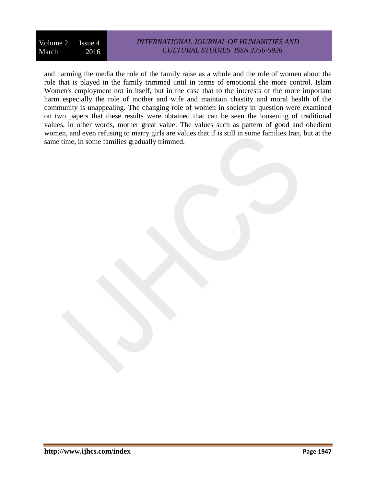# *INTERNATIONAL JOURNAL OF HUMANITIES AND CULTURAL STUDIES ISSN 2356-5926*

and harming the media the role of the family raise as a whole and the role of women about the role that is played in the family trimmed until in terms of emotional she more control. Islam Women's employment not in itself, but in the case that to the interests of the more important harm especially the role of mother and wife and maintain chastity and moral health of the community is unappealing. The changing role of women in society in question were examined on two papers that these results were obtained that can be seen the loosening of traditional values, in other words, mother great value. The values such as pattern of good and obedient women, and even refusing to marry girls are values that if is still in some families Iran, but at the same time, in some families gradually trimmed.